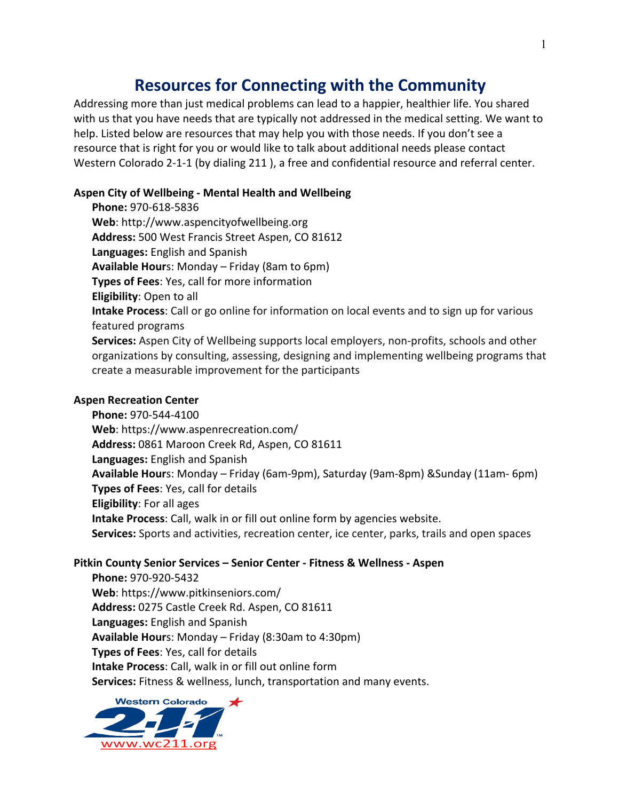# **Resources for Connecting with the Community**

Addressing more than just medical problems can lead to a happier, healthier life. You shared with us that you have needs that are typically not addressed in the medical setting. We want to help. Listed below are resources that may help you with those needs. If you don't see a resource that is right for you or would like to talk about additional needs please contact Western Colorado 2-1-1 (by dialing 211), a free and confidential resource and referral center.

## Aspen City of Wellbeing - Mental Health and Wellbeing

**Phone:** 970-618-5836 Web: http://www.aspencityofwellbeing.org Address: 500 West Francis Street Aspen, CO 81612 **Languages:** English and Spanish **Available Hour**s: Monday – Friday (8am to 6pm) **Types of Fees:** Yes, call for more information **Eligibility:** Open to all **Intake Process**: Call or go online for information on local events and to sign up for various featured programs **Services:** Aspen City of Wellbeing supports local employers, non-profits, schools and other organizations by consulting, assessing, designing and implementing wellbeing programs that create a measurable improvement for the participants

#### **Aspen Recreation Center**

**Phone:** 970-544-4100 Web: https://www.aspenrecreation.com/ Address: 0861 Maroon Creek Rd, Aspen, CO 81611 **Languages:** English and Spanish **Available Hour**s: Monday – Friday (6am-9pm), Saturday (9am-8pm) & Sunday (11am-6pm) **Types of Fees**: Yes, call for details **Eligibility:** For all ages **Intake Process**: Call, walk in or fill out online form by agencies website. **Services:** Sports and activities, recreation center, ice center, parks, trails and open spaces

#### **Pitkin County Senior Services – Senior Center - Fitness & Wellness - Aspen**

**Phone:** 970-920-5432 **Web**: https://www.pitkinseniors.com/ Address: 0275 Castle Creek Rd. Aspen, CO 81611 Languages: English and Spanish **Available Hour**s: Monday – Friday (8:30am to 4:30pm) **Types of Fees:** Yes, call for details **Intake Process:** Call, walk in or fill out online form **Services:** Fitness & wellness, lunch, transportation and many events.

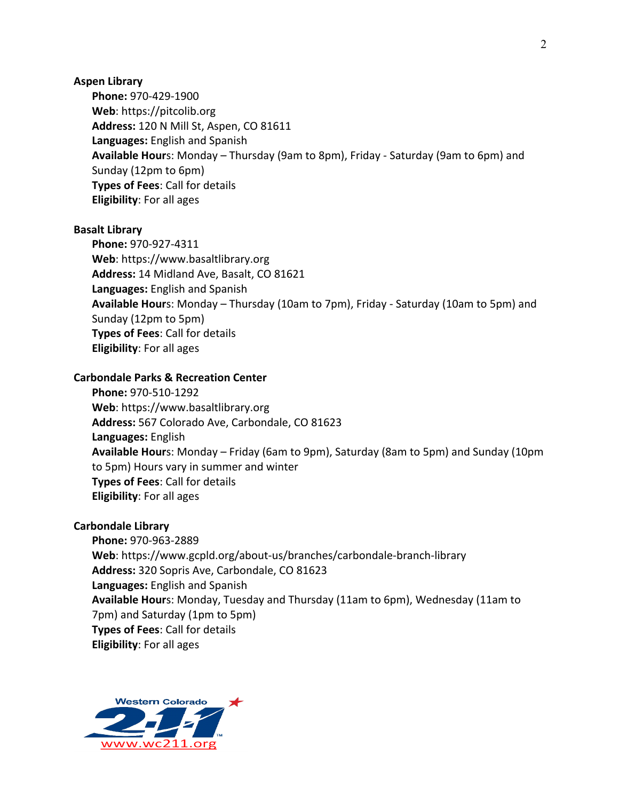#### **Aspen Library**

**Phone:** 970-429-1900 Web: https://pitcolib.org **Address:** 120 N Mill St, Aspen, CO 81611 **Languages:** English and Spanish **Available Hour**s: Monday – Thursday (9am to 8pm), Friday - Saturday (9am to 6pm) and Sunday (12pm to 6pm) **Types of Fees: Call for details Eligibility:** For all ages

#### **Basalt Library**

**Phone:** 970-927-4311 Web: https://www.basaltlibrary.org Address: 14 Midland Ave, Basalt, CO 81621 Languages: English and Spanish **Available Hour**s: Monday – Thursday (10am to 7pm), Friday - Saturday (10am to 5pm) and Sunday (12pm to 5pm) **Types of Fees: Call for details Eligibility:** For all ages

#### **Carbondale Parks & Recreation Center**

**Phone:** 970-510-1292 Web: https://www.basaltlibrary.org Address: 567 Colorado Ave, Carbondale, CO 81623 **Languages:** English **Available Hour**s: Monday – Friday (6am to 9pm), Saturday (8am to 5pm) and Sunday (10pm to 5pm) Hours vary in summer and winter **Types of Fees: Call for details Eligibility:** For all ages

#### **Carbondale Library**

**Phone:** 970-963-2889 Web: https://www.gcpld.org/about-us/branches/carbondale-branch-library Address: 320 Sopris Ave, Carbondale, CO 81623 **Languages:** English and Spanish Available Hours: Monday, Tuesday and Thursday (11am to 6pm), Wednesday (11am to 7pm) and Saturday (1pm to 5pm) **Types of Fees: Call for details Eligibility:** For all ages

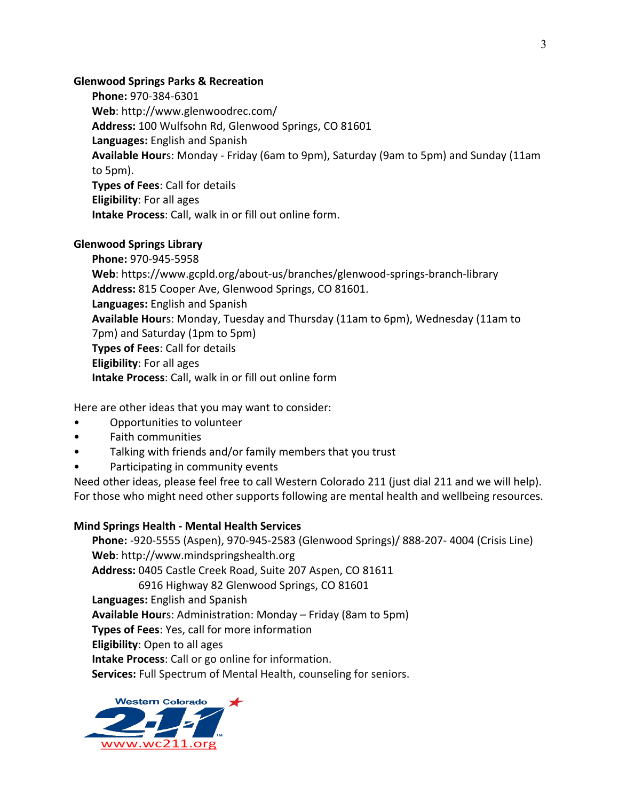#### **Glenwood Springs Parks & Recreation**

**Phone:** 970-384-6301 Web: http://www.glenwoodrec.com/ Address: 100 Wulfsohn Rd, Glenwood Springs, CO 81601 **Languages:** English and Spanish Available Hours: Monday - Friday (6am to 9pm), Saturday (9am to 5pm) and Sunday (11am to 5pm). **Types of Fees: Call for details Eligibility:** For all ages **Intake Process:** Call, walk in or fill out online form.

## **Glenwood Springs Library**

**Phone:** 970-945-5958 Web: https://www.gcpld.org/about-us/branches/glenwood-springs-branch-library Address: 815 Cooper Ave, Glenwood Springs, CO 81601. **Languages:** English and Spanish Available Hours: Monday, Tuesday and Thursday (11am to 6pm), Wednesday (11am to 7pm) and Saturday (1pm to 5pm) **Types of Fees: Call for details Eligibility:** For all ages **Intake Process:** Call, walk in or fill out online form

Here are other ideas that you may want to consider:

- Opportunities to volunteer
- Faith communities
- Talking with friends and/or family members that you trust
- Participating in community events

Need other ideas, please feel free to call Western Colorado 211 (just dial 211 and we will help). For those who might need other supports following are mental health and wellbeing resources.

## **Mind Springs Health - Mental Health Services**

**Phone:** -920-5555 (Aspen), 970-945-2583 (Glenwood Springs)/ 888-207- 4004 (Crisis Line) **Web**: http://www.mindspringshealth.org Address: 0405 Castle Creek Road, Suite 207 Aspen, CO 81611 6916 Highway 82 Glenwood Springs, CO 81601 **Languages:** English and Spanish **Available Hour**s: Administration: Monday – Friday (8am to 5pm) **Types of Fees**: Yes, call for more information **Eligibility:** Open to all ages **Intake Process:** Call or go online for information. **Services:** Full Spectrum of Mental Health, counseling for seniors.

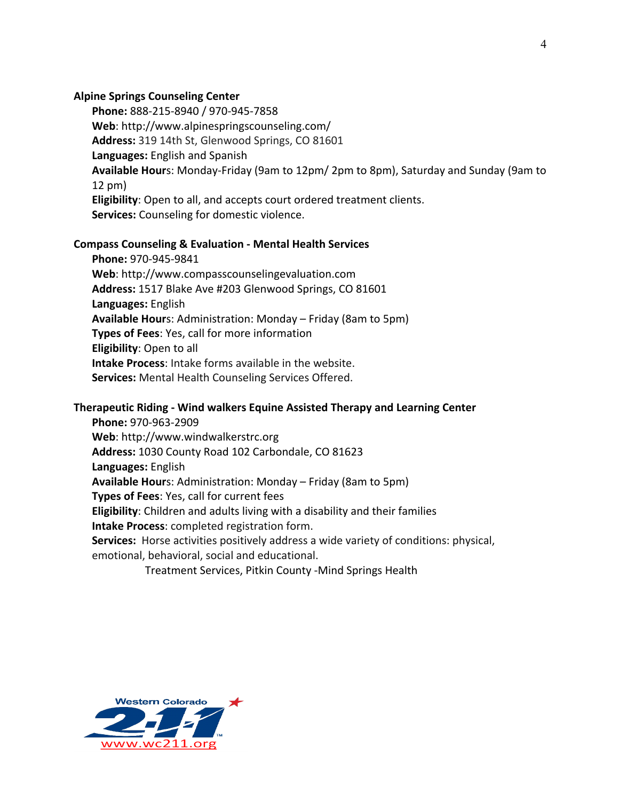#### **Alpine Springs Counseling Center**

Phone: 888-215-8940 / 970-945-7858 Web: http://www.alpinespringscounseling.com/ Address: 319 14th St, Glenwood Springs, CO 81601 Languages: English and Spanish **Available Hour**s: Monday-Friday (9am to 12pm/ 2pm to 8pm), Saturday and Sunday (9am to  $12$  pm $)$ **Eligibility:** Open to all, and accepts court ordered treatment clients. **Services:** Counseling for domestic violence.

## **Compass Counseling & Evaluation - Mental Health Services**

**Phone:** 970-945-9841 Web: http://www.compasscounselingevaluation.com Address: 1517 Blake Ave #203 Glenwood Springs, CO 81601 **Languages:** English **Available Hour**s: Administration: Monday – Friday (8am to 5pm) **Types of Fees**: Yes, call for more information **Eligibility:** Open to all **Intake Process:** Intake forms available in the website. **Services:** Mental Health Counseling Services Offered.

## **Therapeutic Riding - Wind walkers Equine Assisted Therapy and Learning Center**

**Phone:** 970-963-2909 Web: http://www.windwalkerstrc.org Address: 1030 County Road 102 Carbondale, CO 81623 **Languages:** English **Available Hour**s: Administration: Monday – Friday (8am to 5pm) **Types of Fees:** Yes, call for current fees **Eligibility:** Children and adults living with a disability and their families **Intake Process:** completed registration form. **Services:** Horse activities positively address a wide variety of conditions: physical, emotional, behavioral, social and educational.

Treatment Services, Pitkin County -Mind Springs Health